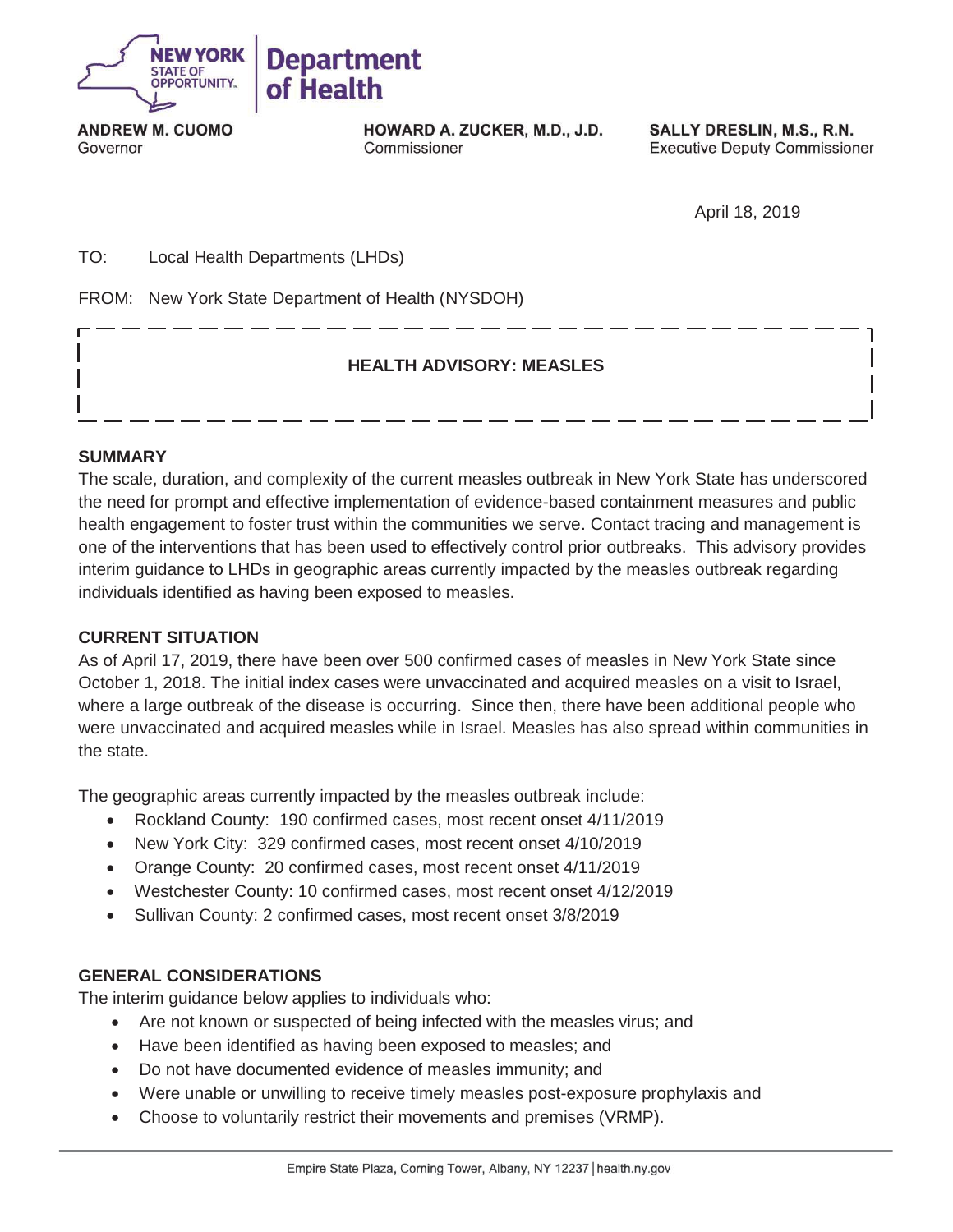

**ANDREW M. CUOMO** Governor

HOWARD A. ZUCKER, M.D., J.D. Commissioner

SALLY DRESLIN, M.S., R.N. **Executive Deputy Commissioner** 

April 18, 2019

TO: Local Health Departments (LHDs)

FROM: New York State Department of Health (NYSDOH)

## **HEALTH ADVISORY: MEASLES**

#### **SUMMARY**

The scale, duration, and complexity of the current measles outbreak in New York State has underscored the need for prompt and effective implementation of evidence-based containment measures and public health engagement to foster trust within the communities we serve. Contact tracing and management is one of the interventions that has been used to effectively control prior outbreaks. This advisory provides interim guidance to LHDs in geographic areas currently impacted by the measles outbreak regarding individuals identified as having been exposed to measles.

#### **CURRENT SITUATION**

As of April 17, 2019, there have been over 500 confirmed cases of measles in New York State since October 1, 2018. The initial index cases were unvaccinated and acquired measles on a visit to Israel, where a large outbreak of the disease is occurring. Since then, there have been additional people who were unvaccinated and acquired measles while in Israel. Measles has also spread within communities in the state.

The geographic areas currently impacted by the measles outbreak include:

- Rockland County: 190 confirmed cases, most recent onset 4/11/2019
- New York City: 329 confirmed cases, most recent onset 4/10/2019
- Orange County: 20 confirmed cases, most recent onset 4/11/2019
- Westchester County: 10 confirmed cases, most recent onset 4/12/2019
- Sullivan County: 2 confirmed cases, most recent onset 3/8/2019

#### **GENERAL CONSIDERATIONS**

The interim guidance below applies to individuals who:

- Are not known or suspected of being infected with the measles virus; and
- Have been identified as having been exposed to measles; and
- Do not have documented evidence of measles immunity; and
- Were unable or unwilling to receive timely measles post-exposure prophylaxis and
- Choose to voluntarily restrict their movements and premises (VRMP).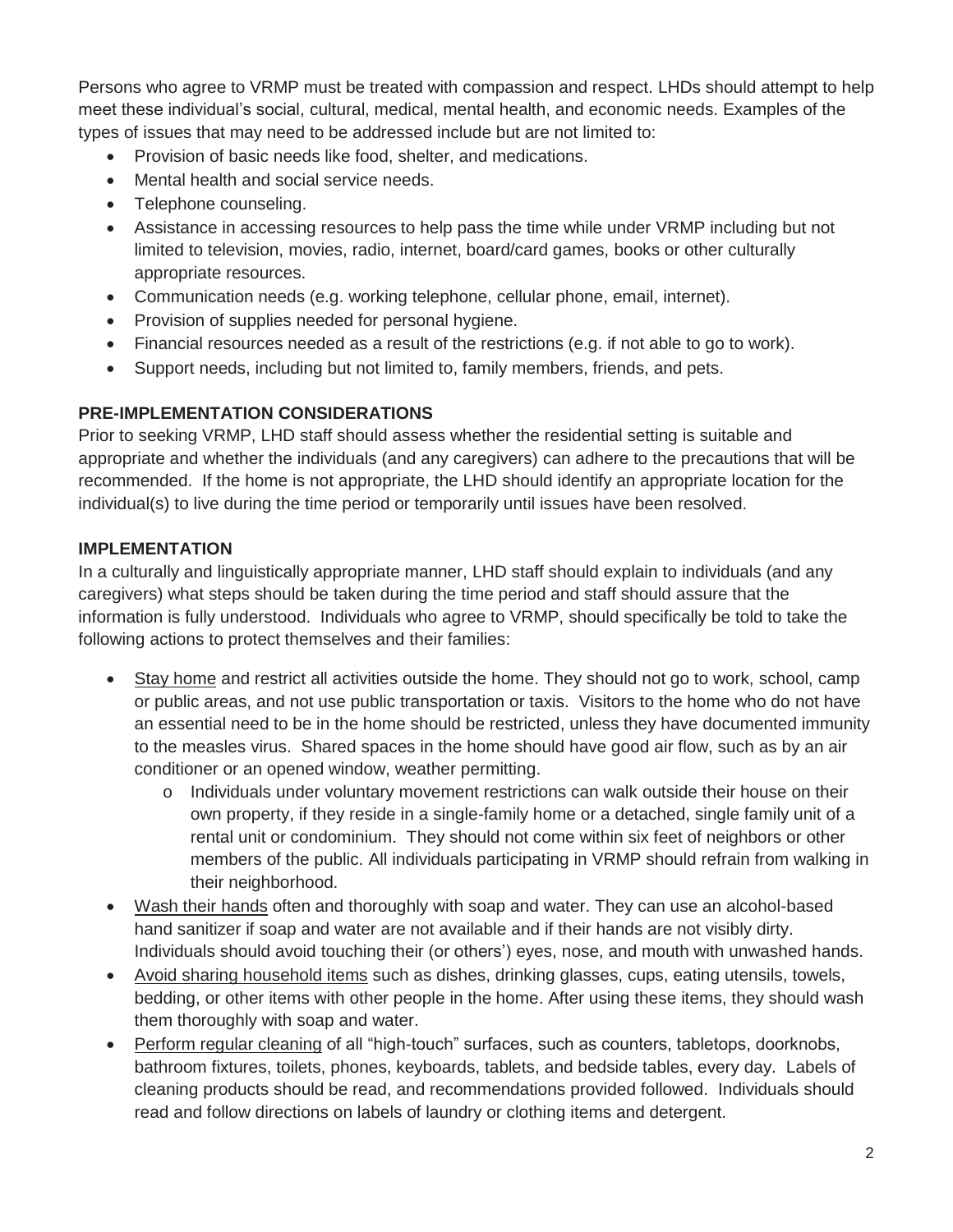Persons who agree to VRMP must be treated with compassion and respect. LHDs should attempt to help meet these individual's social, cultural, medical, mental health, and economic needs. Examples of the types of issues that may need to be addressed include but are not limited to:

- Provision of basic needs like food, shelter, and medications.
- Mental health and social service needs.
- Telephone counseling.
- Assistance in accessing resources to help pass the time while under VRMP including but not limited to television, movies, radio, internet, board/card games, books or other culturally appropriate resources.
- Communication needs (e.g. working telephone, cellular phone, email, internet).
- Provision of supplies needed for personal hygiene.
- Financial resources needed as a result of the restrictions (e.g. if not able to go to work).
- Support needs, including but not limited to, family members, friends, and pets.

# **PRE-IMPLEMENTATION CONSIDERATIONS**

Prior to seeking VRMP, LHD staff should assess whether the residential setting is suitable and appropriate and whether the individuals (and any caregivers) can adhere to the precautions that will be recommended. If the home is not appropriate, the LHD should identify an appropriate location for the individual(s) to live during the time period or temporarily until issues have been resolved.

# **IMPLEMENTATION**

In a culturally and linguistically appropriate manner, LHD staff should explain to individuals (and any caregivers) what steps should be taken during the time period and staff should assure that the information is fully understood. Individuals who agree to VRMP, should specifically be told to take the following actions to protect themselves and their families:

- Stay home and restrict all activities outside the home. They should not go to work, school, camp or public areas, and not use public transportation or taxis. Visitors to the home who do not have an essential need to be in the home should be restricted, unless they have documented immunity to the measles virus. Shared spaces in the home should have good air flow, such as by an air conditioner or an opened window, weather permitting.
	- o Individuals under voluntary movement restrictions can walk outside their house on their own property, if they reside in a single-family home or a detached, single family unit of a rental unit or condominium. They should not come within six feet of neighbors or other members of the public. All individuals participating in VRMP should refrain from walking in their neighborhood.
- Wash their hands often and thoroughly with soap and water. They can use an alcohol-based hand sanitizer if soap and water are not available and if their hands are not visibly dirty. Individuals should avoid touching their (or others') eyes, nose, and mouth with unwashed hands.
- Avoid sharing household items such as dishes, drinking glasses, cups, eating utensils, towels, bedding, or other items with other people in the home. After using these items, they should wash them thoroughly with soap and water.
- Perform regular cleaning of all "high-touch" surfaces, such as counters, tabletops, doorknobs, bathroom fixtures, toilets, phones, keyboards, tablets, and bedside tables, every day. Labels of cleaning products should be read, and recommendations provided followed. Individuals should read and follow directions on labels of laundry or clothing items and detergent.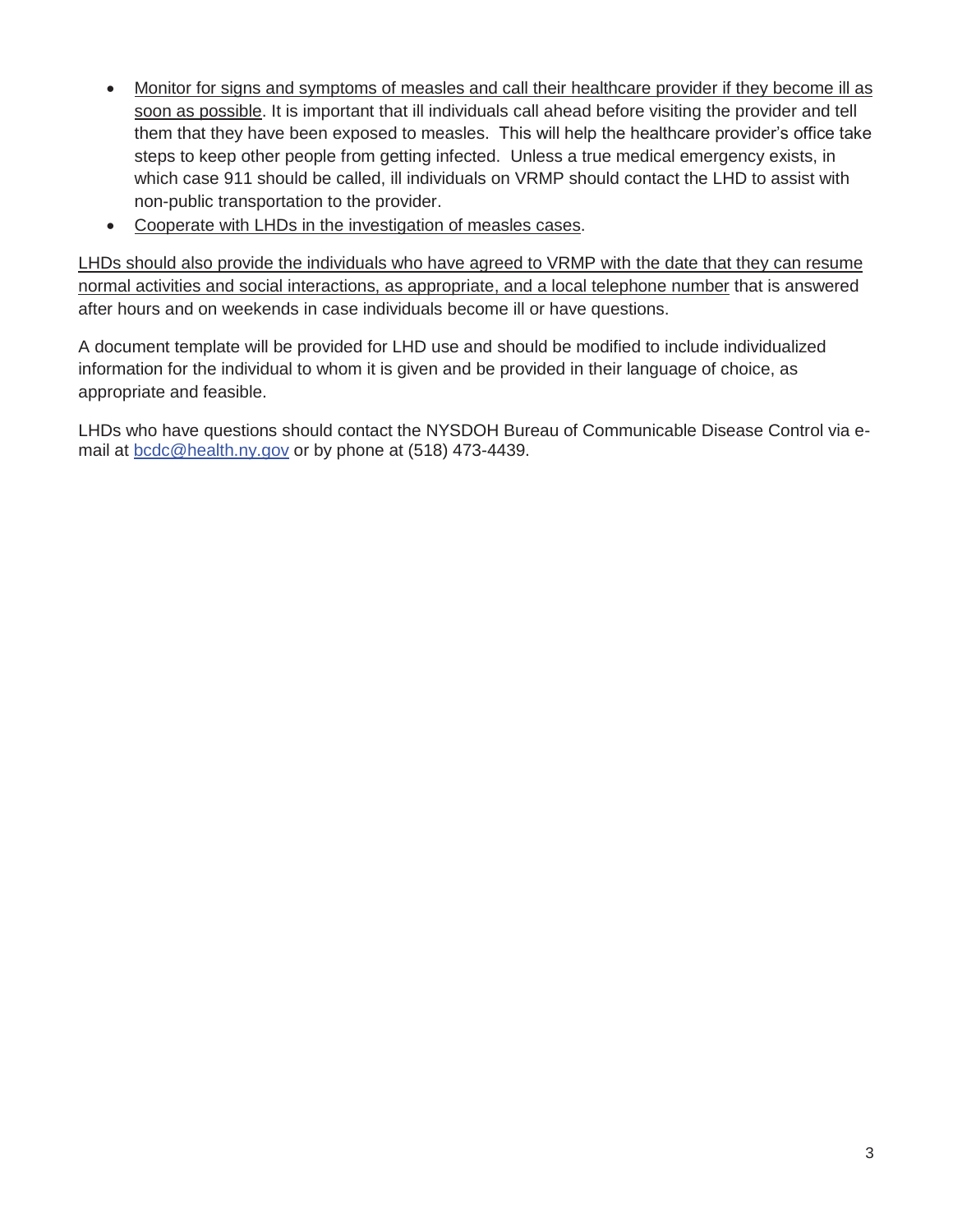- Monitor for signs and symptoms of measles and call their healthcare provider if they become ill as soon as possible. It is important that ill individuals call ahead before visiting the provider and tell them that they have been exposed to measles. This will help the healthcare provider's office take steps to keep other people from getting infected. Unless a true medical emergency exists, in which case 911 should be called, ill individuals on VRMP should contact the LHD to assist with non-public transportation to the provider.
- Cooperate with LHDs in the investigation of measles cases.

LHDs should also provide the individuals who have agreed to VRMP with the date that they can resume normal activities and social interactions, as appropriate, and a local telephone number that is answered after hours and on weekends in case individuals become ill or have questions.

A document template will be provided for LHD use and should be modified to include individualized information for the individual to whom it is given and be provided in their language of choice, as appropriate and feasible.

LHDs who have questions should contact the NYSDOH Bureau of Communicable Disease Control via email at **bcdc@health.ny.gov** or by phone at (518) 473-4439.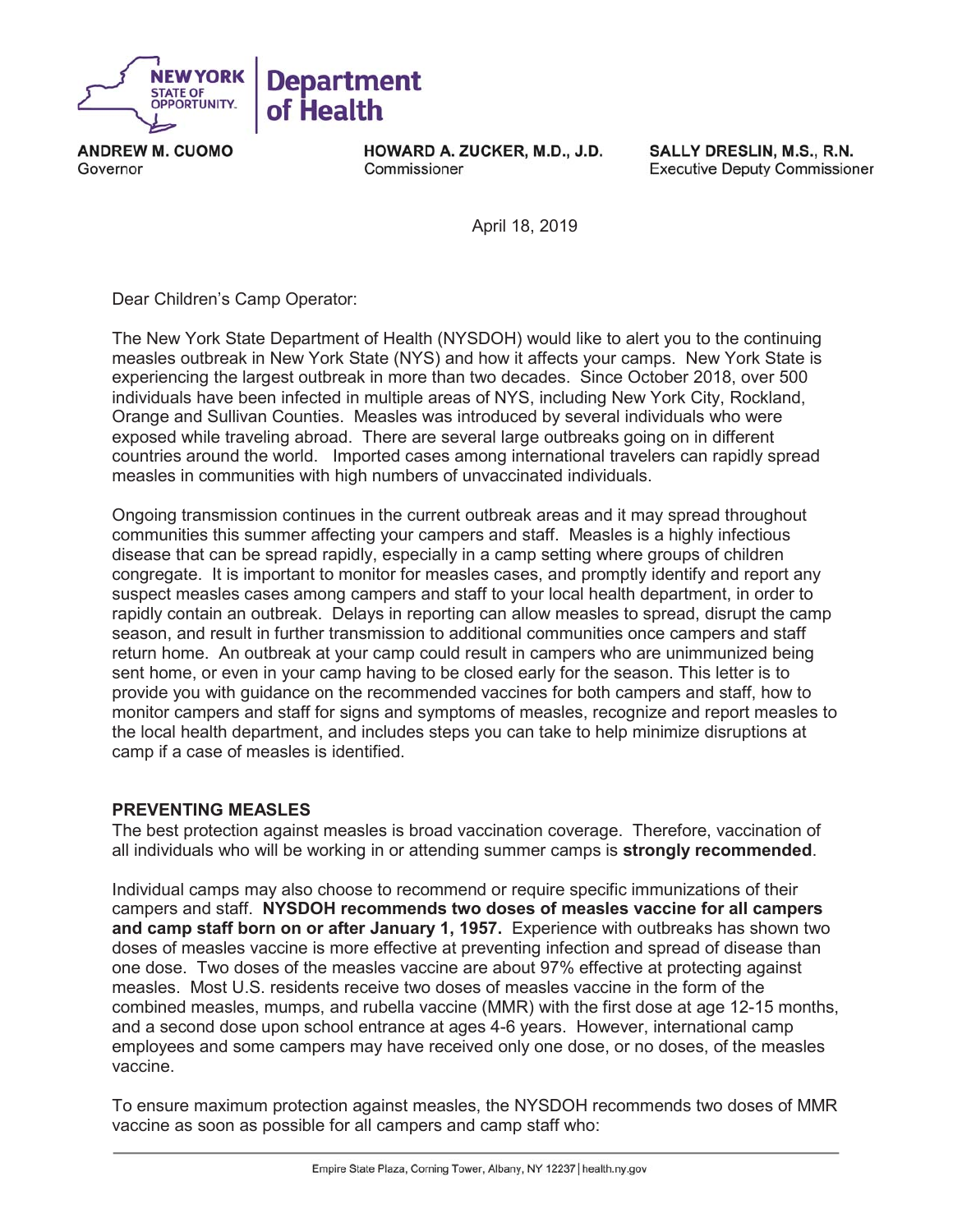

**ANDREW M. CUOMO** Governor

HOWARD A. ZUCKER, M.D., J.D. Commissioner

SALLY DRESLIN, M.S., R.N. **Executive Deputy Commissioner** 

April 18, 2019

Dear Children's Camp Operator:

The New York State Department of Health (NYSDOH) would like to alert you to the continuing measles outbreak in New York State (NYS) and how it affects your camps. New York State is experiencing the largest outbreak in more than two decades. Since October 2018, over 500 individuals have been infected in multiple areas of NYS, including New York City, Rockland, Orange and Sullivan Counties. Measles was introduced by several individuals who were exposed while traveling abroad. There are several large outbreaks going on in different countries around the world. Imported cases among international travelers can rapidly spread measles in communities with high numbers of unvaccinated individuals.

Ongoing transmission continues in the current outbreak areas and it may spread throughout communities this summer affecting your campers and staff. Measles is a highly infectious disease that can be spread rapidly, especially in a camp setting where groups of children congregate. It is important to monitor for measles cases, and promptly identify and report any suspect measles cases among campers and staff to your local health department, in order to rapidly contain an outbreak. Delays in reporting can allow measles to spread, disrupt the camp season, and result in further transmission to additional communities once campers and staff return home. An outbreak at your camp could result in campers who are unimmunized being sent home, or even in your camp having to be closed early for the season. This letter is to provide you with guidance on the recommended vaccines for both campers and staff, how to monitor campers and staff for signs and symptoms of measles, recognize and report measles to the local health department, and includes steps you can take to help minimize disruptions at camp if a case of measles is identified.

#### **PREVENTING MEASLES**

The best protection against measles is broad vaccination coverage. Therefore, vaccination of all individuals who will be working in or attending summer camps is **strongly recommended**.

Individual camps may also choose to recommend or require specific immunizations of their campers and staff. **NYSDOH recommends two doses of measles vaccine for all campers and camp staff born on or after January 1, 1957.** Experience with outbreaks has shown two doses of measles vaccine is more effective at preventing infection and spread of disease than one dose. Two doses of the measles vaccine are about 97% effective at protecting against measles. Most U.S. residents receive two doses of measles vaccine in the form of the combined measles, mumps, and rubella vaccine (MMR) with the first dose at age 12-15 months, and a second dose upon school entrance at ages 4-6 years. However, international camp employees and some campers may have received only one dose, or no doses, of the measles vaccine.

To ensure maximum protection against measles, the NYSDOH recommends two doses of MMR vaccine as soon as possible for all campers and camp staff who: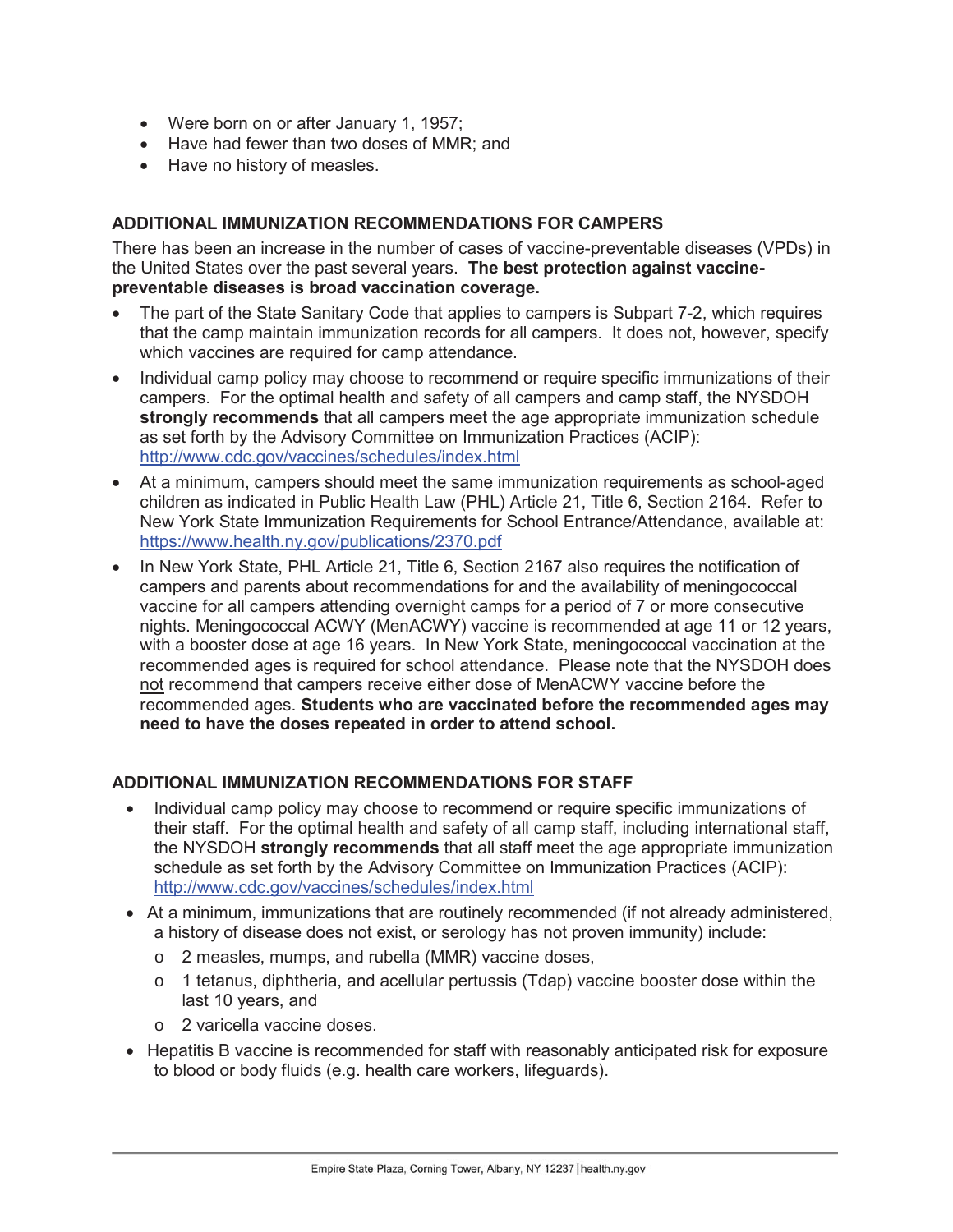- Were born on or after January 1, 1957;
- Have had fewer than two doses of MMR; and
- Have no history of measles.

## **ADDITIONAL IMMUNIZATION RECOMMENDATIONS FOR CAMPERS**

There has been an increase in the number of cases of vaccine-preventable diseases (VPDs) in the United States over the past several years. **The best protection against vaccinepreventable diseases is broad vaccination coverage.** 

- The part of the State Sanitary Code that applies to campers is Subpart 7-2, which requires that the camp maintain immunization records for all campers. It does not, however, specify which vaccines are required for camp attendance.
- Individual camp policy may choose to recommend or require specific immunizations of their campers. For the optimal health and safety of all campers and camp staff, the NYSDOH **strongly recommends** that all campers meet the age appropriate immunization schedule as set forth by the Advisory Committee on Immunization Practices (ACIP): http://www.cdc.gov/vaccines/schedules/index.html
- At a minimum, campers should meet the same immunization requirements as school-aged children as indicated in Public Health Law (PHL) Article 21, Title 6, Section 2164. Refer to New York State Immunization Requirements for School Entrance/Attendance, available at: https://www.health.ny.gov/publications/2370.pdf
- In New York State, PHL Article 21, Title 6, Section 2167 also requires the notification of campers and parents about recommendations for and the availability of meningococcal vaccine for all campers attending overnight camps for a period of 7 or more consecutive nights. Meningococcal ACWY (MenACWY) vaccine is recommended at age 11 or 12 years, with a booster dose at age 16 years. In New York State, meningococcal vaccination at the recommended ages is required for school attendance. Please note that the NYSDOH does not recommend that campers receive either dose of MenACWY vaccine before the recommended ages. **Students who are vaccinated before the recommended ages may need to have the doses repeated in order to attend school.**

# **ADDITIONAL IMMUNIZATION RECOMMENDATIONS FOR STAFF**

- Individual camp policy may choose to recommend or require specific immunizations of their staff. For the optimal health and safety of all camp staff, including international staff, the NYSDOH **strongly recommends** that all staff meet the age appropriate immunization schedule as set forth by the Advisory Committee on Immunization Practices (ACIP): http://www.cdc.gov/vaccines/schedules/index.html
- At a minimum, immunizations that are routinely recommended (if not already administered, a history of disease does not exist, or serology has not proven immunity) include:
	- o 2 measles, mumps, and rubella (MMR) vaccine doses,
	- $\circ$  1 tetanus, diphtheria, and acellular pertussis (Tdap) vaccine booster dose within the last 10 years, and
	- o 2 varicella vaccine doses.
- Hepatitis B vaccine is recommended for staff with reasonably anticipated risk for exposure to blood or body fluids (e.g. health care workers, lifeguards).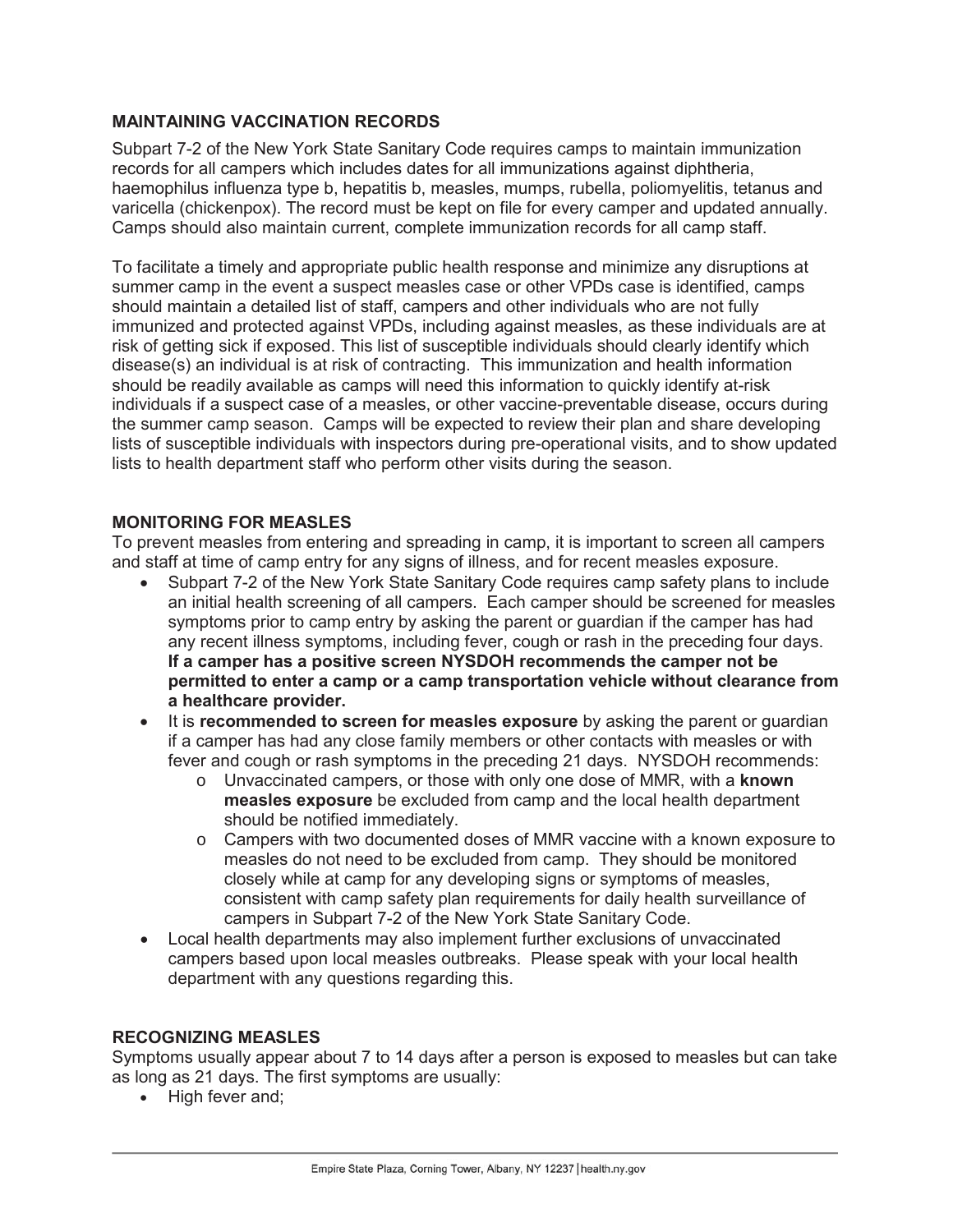## **MAINTAINING VACCINATION RECORDS**

Subpart 7-2 of the New York State Sanitary Code requires camps to maintain immunization records for all campers which includes dates for all immunizations against diphtheria, haemophilus influenza type b, hepatitis b, measles, mumps, rubella, poliomyelitis, tetanus and varicella (chickenpox). The record must be kept on file for every camper and updated annually. Camps should also maintain current, complete immunization records for all camp staff.

To facilitate a timely and appropriate public health response and minimize any disruptions at summer camp in the event a suspect measles case or other VPDs case is identified, camps should maintain a detailed list of staff, campers and other individuals who are not fully immunized and protected against VPDs, including against measles, as these individuals are at risk of getting sick if exposed. This list of susceptible individuals should clearly identify which disease(s) an individual is at risk of contracting. This immunization and health information should be readily available as camps will need this information to quickly identify at-risk individuals if a suspect case of a measles, or other vaccine-preventable disease, occurs during the summer camp season. Camps will be expected to review their plan and share developing lists of susceptible individuals with inspectors during pre-operational visits, and to show updated lists to health department staff who perform other visits during the season.

#### **MONITORING FOR MEASLES**

To prevent measles from entering and spreading in camp, it is important to screen all campers and staff at time of camp entry for any signs of illness, and for recent measles exposure.

- Subpart 7-2 of the New York State Sanitary Code requires camp safety plans to include an initial health screening of all campers. Each camper should be screened for measles symptoms prior to camp entry by asking the parent or guardian if the camper has had any recent illness symptoms, including fever, cough or rash in the preceding four days. **If a camper has a positive screen NYSDOH recommends the camper not be permitted to enter a camp or a camp transportation vehicle without clearance from a healthcare provider.**
- It is **recommended to screen for measles exposure** by asking the parent or quardian if a camper has had any close family members or other contacts with measles or with fever and cough or rash symptoms in the preceding 21 days. NYSDOH recommends:
	- o Unvaccinated campers, or those with only one dose of MMR, with a **known measles exposure** be excluded from camp and the local health department should be notified immediately.
	- o Campers with two documented doses of MMR vaccine with a known exposure to measles do not need to be excluded from camp. They should be monitored closely while at camp for any developing signs or symptoms of measles, consistent with camp safety plan requirements for daily health surveillance of campers in Subpart 7-2 of the New York State Sanitary Code.
- Local health departments may also implement further exclusions of unvaccinated campers based upon local measles outbreaks. Please speak with your local health department with any questions regarding this.

#### **RECOGNIZING MEASLES**

Symptoms usually appear about 7 to 14 days after a person is exposed to measles but can take as long as 21 days. The first symptoms are usually:

• High fever and;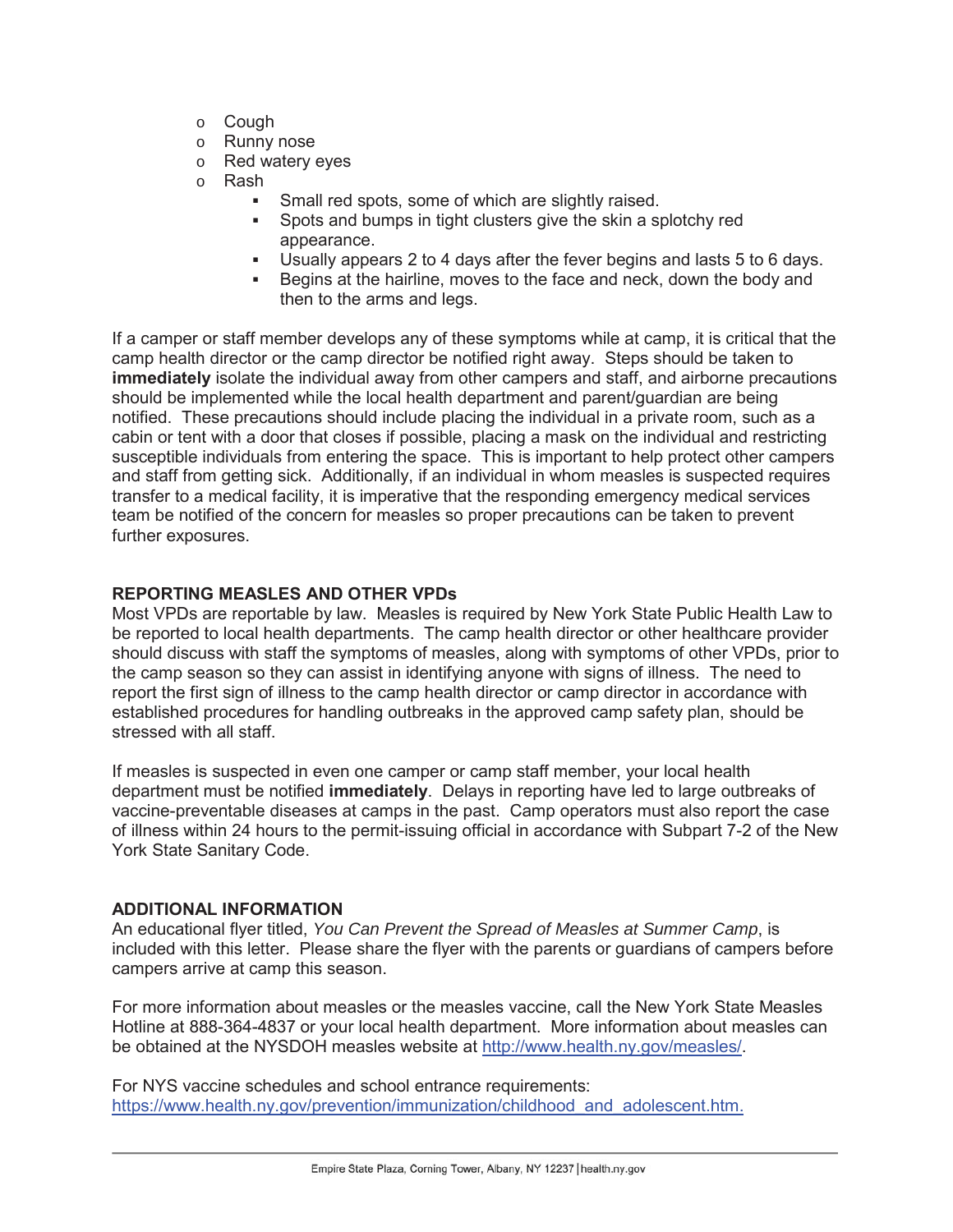- o Cough
- o Runny nose
- o Red watery eyes
- o Rash
	- Small red spots, some of which are slightly raised.
	- Spots and bumps in tight clusters give the skin a splotchy red appearance.
	- Usually appears 2 to 4 days after the fever begins and lasts 5 to 6 days.
	- Begins at the hairline, moves to the face and neck, down the body and then to the arms and legs.

If a camper or staff member develops any of these symptoms while at camp, it is critical that the camp health director or the camp director be notified right away. Steps should be taken to **immediately** isolate the individual away from other campers and staff, and airborne precautions should be implemented while the local health department and parent/guardian are being notified. These precautions should include placing the individual in a private room, such as a cabin or tent with a door that closes if possible, placing a mask on the individual and restricting susceptible individuals from entering the space. This is important to help protect other campers and staff from getting sick. Additionally, if an individual in whom measles is suspected requires transfer to a medical facility, it is imperative that the responding emergency medical services team be notified of the concern for measles so proper precautions can be taken to prevent further exposures.

#### **REPORTING MEASLES AND OTHER VPDs**

Most VPDs are reportable by law. Measles is required by New York State Public Health Law to be reported to local health departments. The camp health director or other healthcare provider should discuss with staff the symptoms of measles, along with symptoms of other VPDs, prior to the camp season so they can assist in identifying anyone with signs of illness. The need to report the first sign of illness to the camp health director or camp director in accordance with established procedures for handling outbreaks in the approved camp safety plan, should be stressed with all staff.

If measles is suspected in even one camper or camp staff member, your local health department must be notified **immediately**. Delays in reporting have led to large outbreaks of vaccine-preventable diseases at camps in the past. Camp operators must also report the case of illness within 24 hours to the permit-issuing official in accordance with Subpart 7-2 of the New York State Sanitary Code.

#### **ADDITIONAL INFORMATION**

An educational flyer titled, *You Can Prevent the Spread of Measles at Summer Camp*, is included with this letter. Please share the flyer with the parents or guardians of campers before campers arrive at camp this season.

For more information about measles or the measles vaccine, call the New York State Measles Hotline at 888-364-4837 or your local health department. More information about measles can be obtained at the NYSDOH measles website at http://www.health.ny.gov/measles/.

For NYS vaccine schedules and school entrance requirements: https://www.health.ny.gov/prevention/immunization/childhood\_and\_adolescent.htm.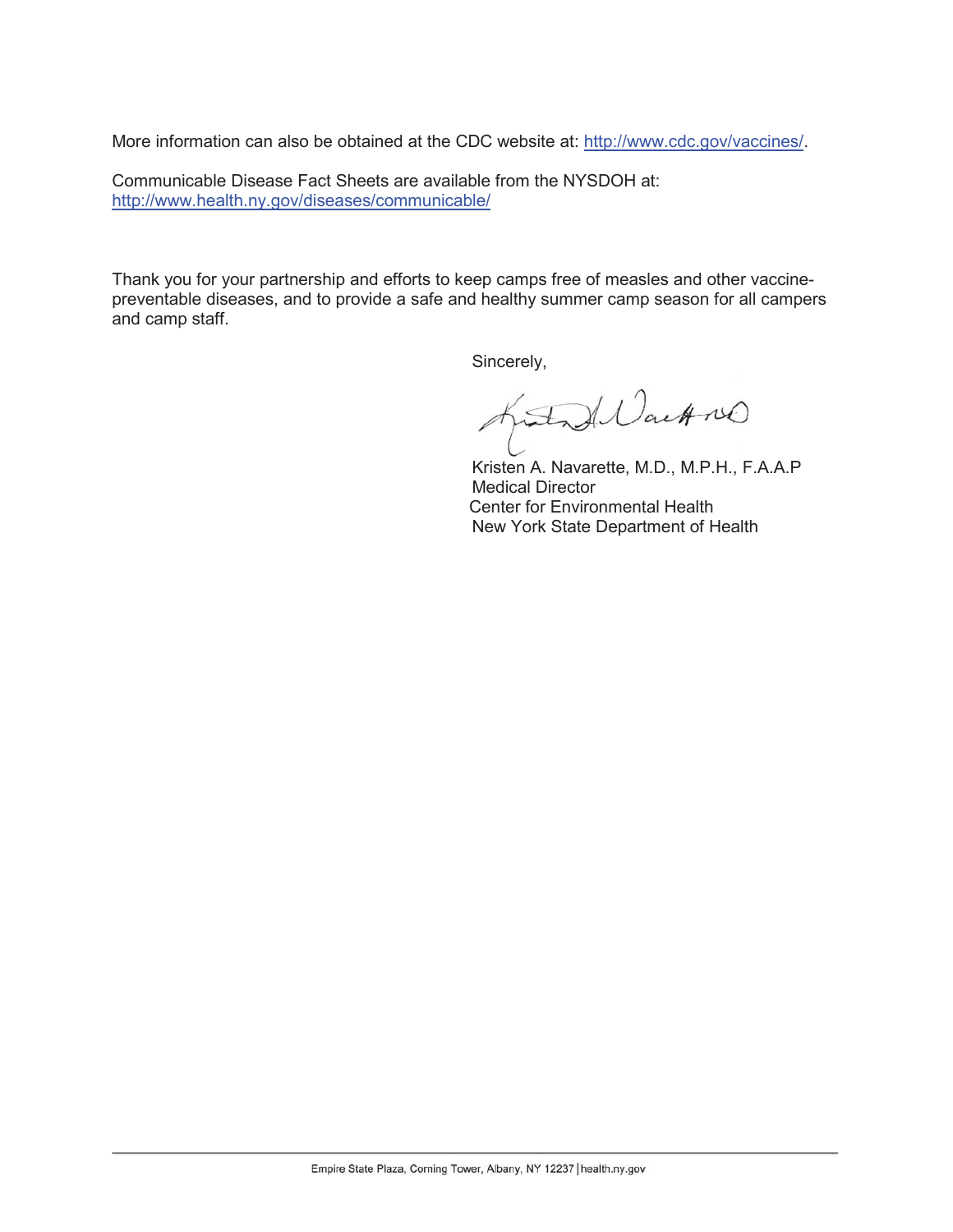More information can also be obtained at the CDC website at: http://www.cdc.gov/vaccines/.

Communicable Disease Fact Sheets are available from the NYSDOH at: http://www.health.ny.gov/diseases/communicable/

Thank you for your partnership and efforts to keep camps free of measles and other vaccinepreventable diseases, and to provide a safe and healthy summer camp season for all campers and camp staff.

Sincerely,

intend Wachner

 Kristen A. Navarette, M.D., M.P.H., F.A.A.P Medical Director Center for Environmental Health New York State Department of Health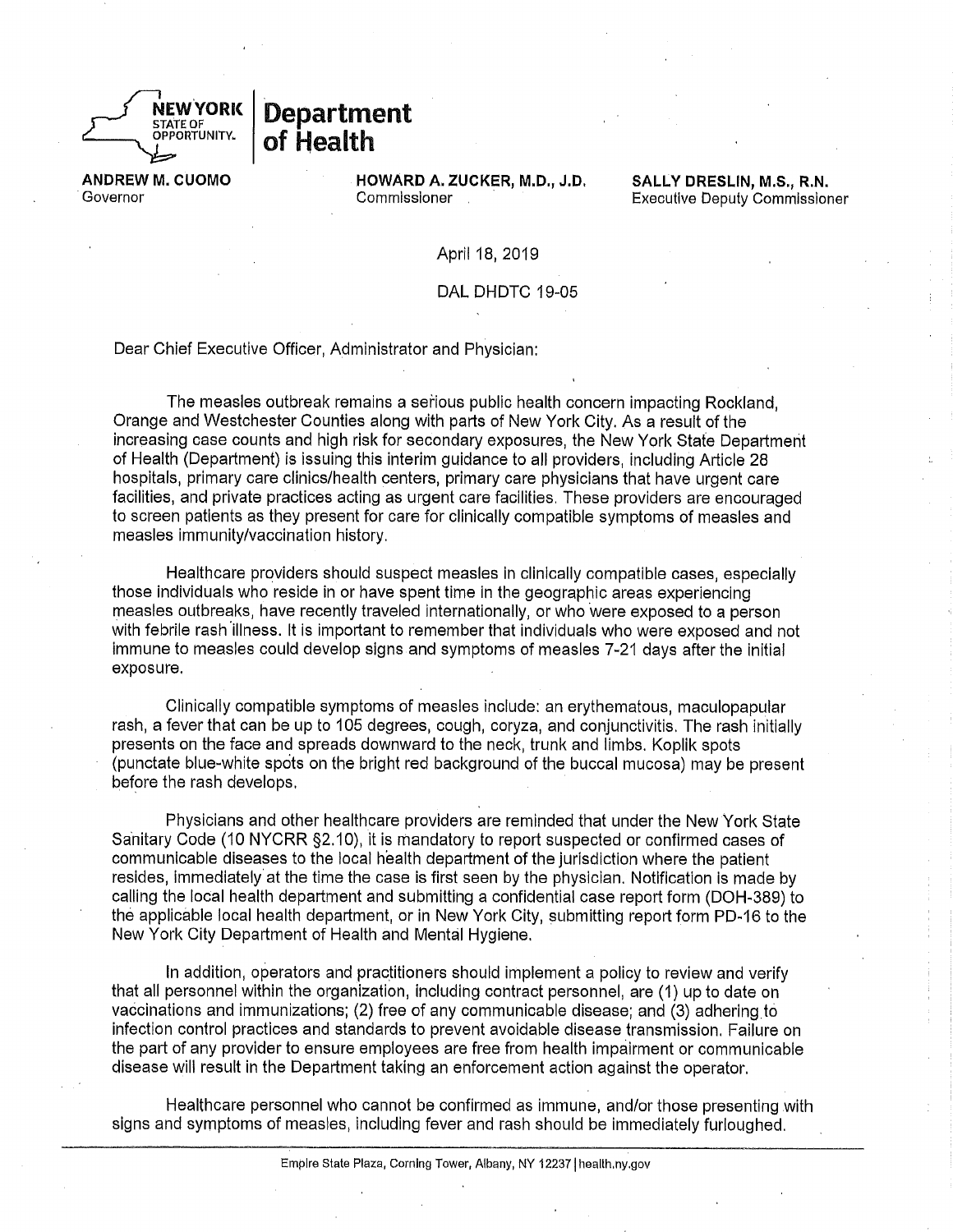

# **Department** of Health

**ANDREW M. CUOMO** Governor

HOWARD A. ZUCKER, M.D., J.D. Commissioner

**SALLY DRESLIN. M.S., R.N. Executive Deputy Commissioner** 

April 18, 2019

DAL DHDTC 19-05

Dear Chief Executive Officer, Administrator and Physician:

The measles outbreak remains a serious public health concern impacting Rockland. Orange and Westchester Counties along with parts of New York City. As a result of the increasing case counts and high risk for secondary exposures, the New York State Department of Health (Department) is issuing this interim guidance to all providers, including Article 28 hospitals, primary care clinics/health centers, primary care physicians that have urgent care facilities, and private practices acting as urgent care facilities. These providers are encouraged to screen patients as they present for care for clinically compatible symptoms of measles and measles immunity/vaccination history.

Healthcare providers should suspect measles in clinically compatible cases, especially those individuals who reside in or have spent time in the geographic areas experiencing measles outbreaks, have recently traveled internationally, or who were exposed to a person with febrile rash illness. It is important to remember that individuals who were exposed and not immune to measles could develop signs and symptoms of measles 7-21 days after the initial exposure.

Clinically compatible symptoms of measles include; an erythematous, maculopapular rash, a fever that can be up to 105 degrees, cough, coryza, and conjunctivitis. The rash initially presents on the face and spreads downward to the neck, trunk and limbs. Koplik spots (punctate blue-white spots on the bright red background of the buccal mucosa) may be present before the rash develops.

Physicians and other healthcare providers are reminded that under the New York State Sanitary Code (10 NYCRR §2.10), it is mandatory to report suspected or confirmed cases of communicable diseases to the local health department of the jurisdiction where the patient resides, immediately at the time the case is first seen by the physician. Notification is made by calling the local health department and submitting a confidential case report form (DOH-389) to the applicable local health department, or in New York City, submitting report form PD-16 to the New York City Department of Health and Mental Hygiene.

In addition, operators and practitioners should implement a policy to review and verify that all personnel within the organization, including contract personnel, are (1) up to date on vaccinations and immunizations; (2) free of any communicable disease; and (3) adhering to infection control practices and standards to prevent avoidable disease transmission. Failure on the part of any provider to ensure employees are free from health impairment or communicable disease will result in the Department taking an enforcement action against the operator.

Healthcare personnel who cannot be confirmed as immune, and/or those presenting with signs and symptoms of measles, including fever and rash should be immediately furloughed.

Empire State Plaza, Corning Tower, Albany, NY 12237 | health.ny.gov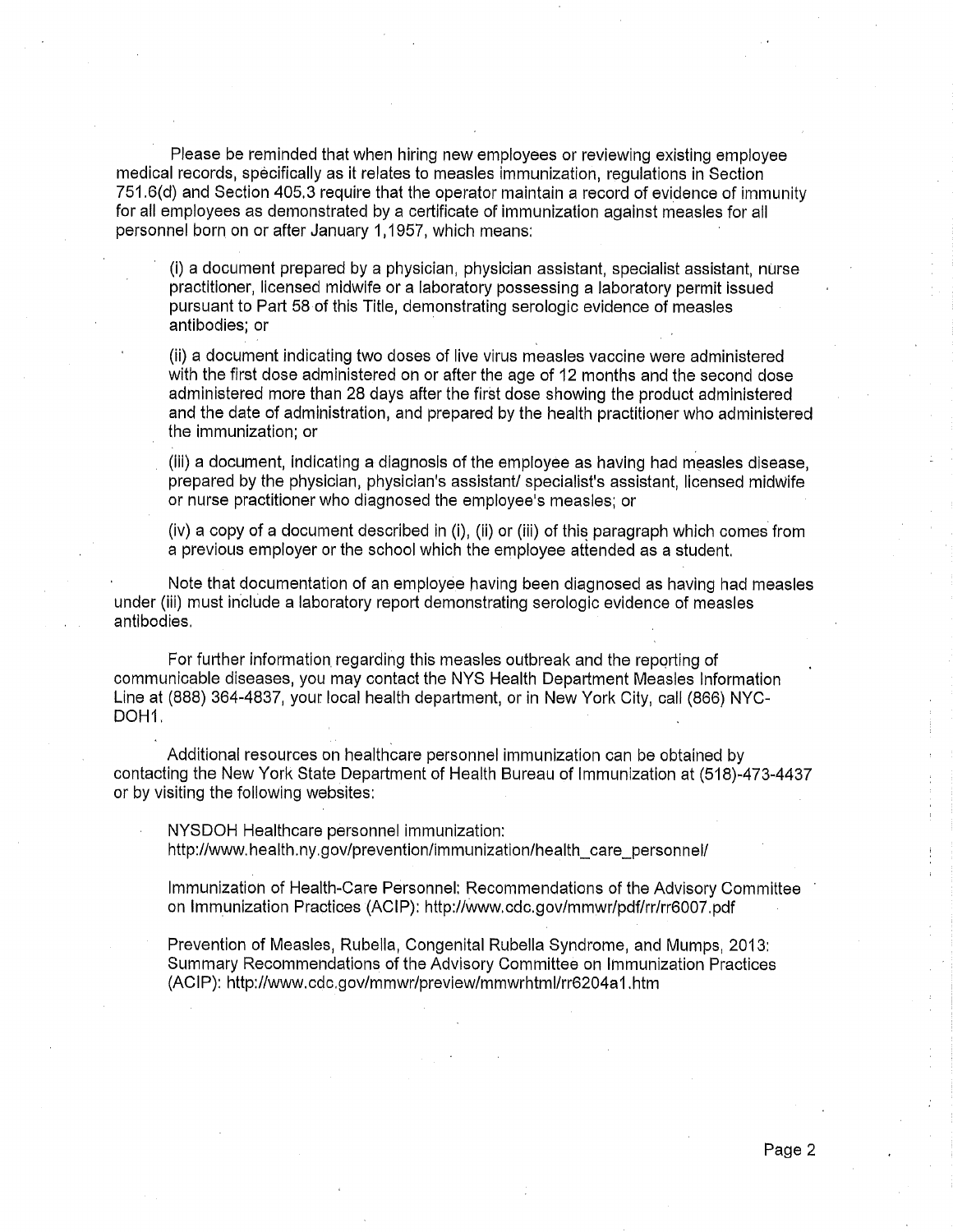Please be reminded that when hiring new employees or reviewing existing employee medical records, specifically as it relates to measles immunization, regulations in Section 751.6(d) and Section 405.3 require that the operator maintain a record of evidence of immunity for all employees as demonstrated by a certificate of immunization against measles for all personnel born on or after January 1,1957, which means:

(i) a document prepared by a physician, physician assistant, specialist assistant, nurse practitioner, licensed midwife or a laboratory possessing a laboratory permit issued pursuant to Part 58 of this Title, demonstrating serologic evidence of measles antibodies; or

(ii) a document indicating two doses of live virus measles vaccine were administered with the first dose administered on or after the age of 12 months and the second dose administered more than 28 days after the first dose showing the product administered and the date of administration, and prepared by the health practitioner who administered the immunization; or

(iii) a document, indicating a diagnosis of the employee as having had measles disease, prepared by the physician, physician's assistant/ specialist's assistant, licensed midwife or nurse practitioner who diagnosed the employee's measles; or

(iv) a copy of a document described in (i), (ii) or (iii) of this paragraph which comes from a previous employer or the school which the employee attended as a student.

Note that documentation of an employee having been diagnosed as having had measles under (iii) must include a laboratory report demonstrating serologic evidence of measles antibodies.

For further information regarding this measles outbreak and the reporting of communicable diseases, you may contact the NYS Health Department Measles Information Line at (888) 364-4837, your local health department, or in New York City, call (866) NYC-DOH<sub>1</sub>.

Additional resources on healthcare personnel immunization can be obtained by contacting the New York State Department of Health Bureau of Immunization at (518)-473-4437 or by visiting the following websites:

NYSDOH Healthcare personnel immunization: http://www.health.ny.gov/prevention/immunization/health care personnel/

Immunization of Health-Care Personnel: Recommendations of the Advisory Committee on Immunization Practices (ACIP): http://www.cdc.gov/mmwr/pdf/rr/rr6007.pdf

Prevention of Measles, Rubella, Congenital Rubella Syndrome, and Mumps, 2013; Summary Recommendations of the Advisory Committee on Immunization Practices (ACIP): http://www.cdc.gov/mmwr/preview/mmwrhtml/rr6204a1.htm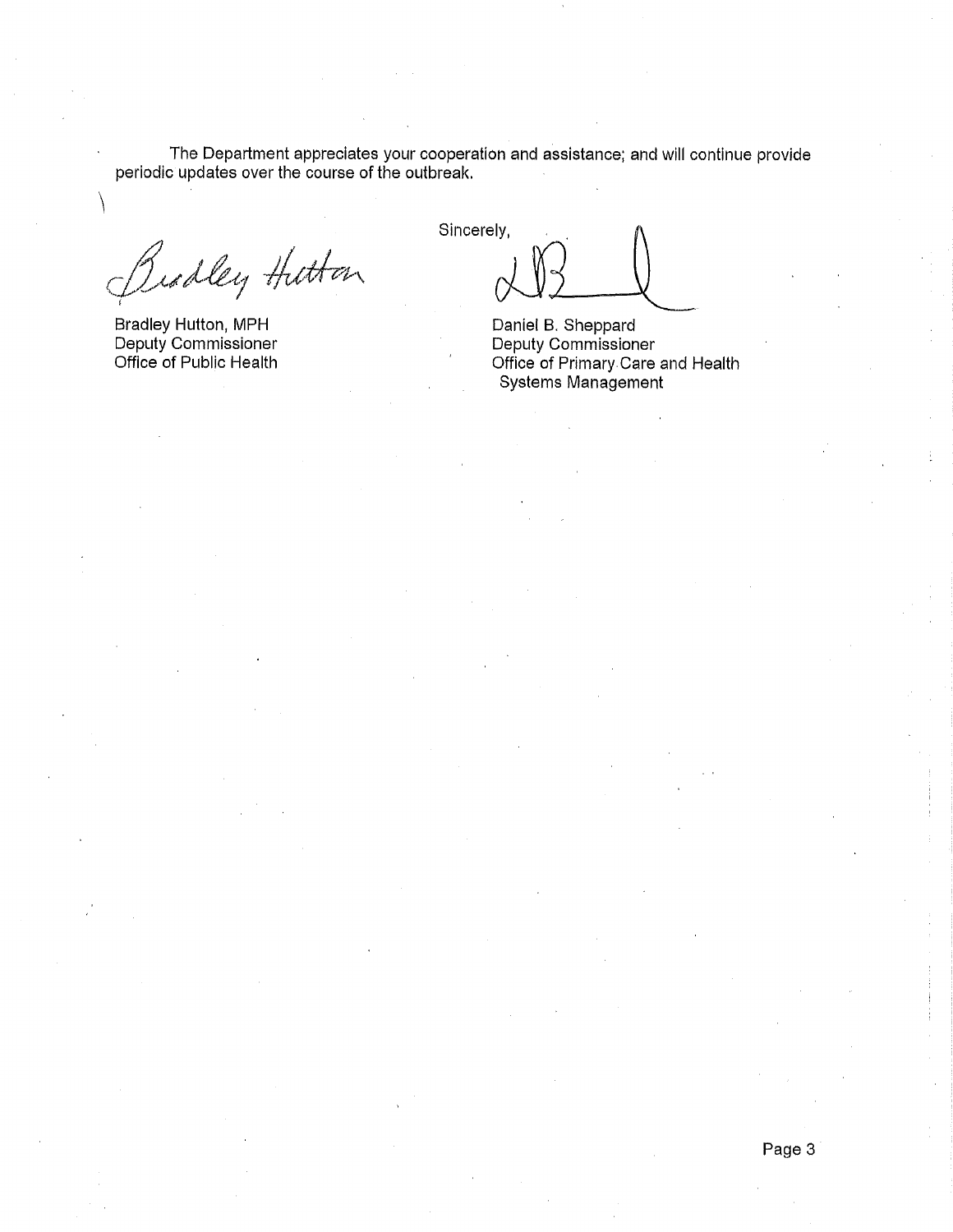The Department appreciates your cooperation and assistance; and will continue provide periodic updates over the course of the outbreak.

Biodley Hittan

Bradley Hutton, MPH Deputy Commissioner Office of Public Health

Sincerely,

Daniel B. Sheppard Deputy Commissioner Office of Primary Care and Health Systems Management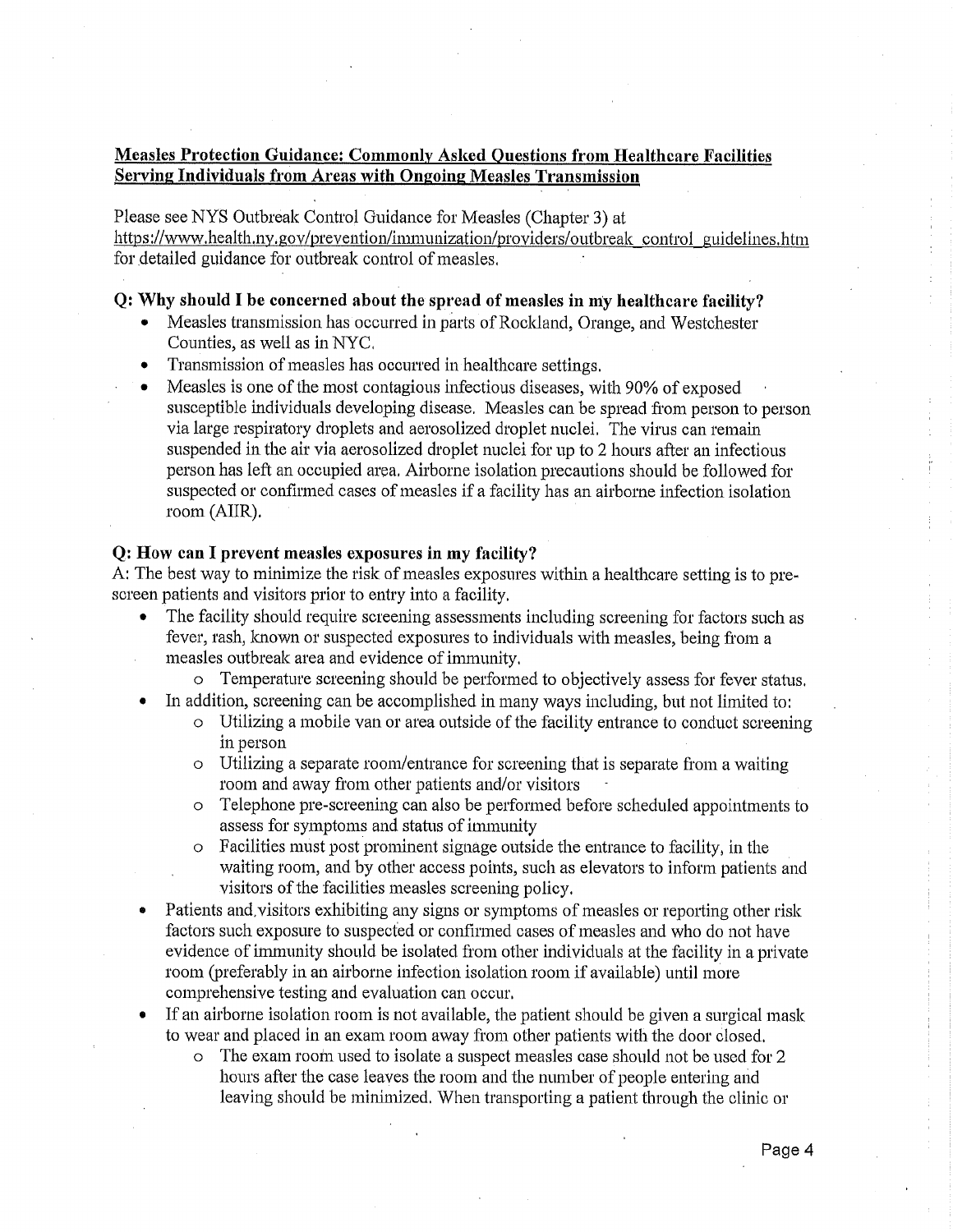#### **Measles Protection Guidance: Commonly Asked Questions from Healthcare Facilities Serving Individuals from Areas with Ongoing Measles Transmission**

Please see NYS Outbreak Control Guidance for Measles (Chapter 3) at https://www.health.ny.gov/prevention/immunization/providers/outbreak control guidelines.htm for detailed guidance for outbreak control of measles.

#### Q: Why should I be concerned about the spread of measles in my healthcare facility?

- Measles transmission has occurred in parts of Rockland, Orange, and Westchester Counties, as well as in NYC.
- Transmission of measles has occurred in healthcare settings.
- Measles is one of the most contagious infectious diseases, with 90% of exposed susceptible individuals developing disease. Measles can be spread from person to person via large respiratory droplets and aerosolized droplet nuclei. The virus can remain suspended in the air via aerosolized droplet nuclei for up to 2 hours after an infectious person has left an occupied area. Airborne isolation precautions should be followed for suspected or confirmed cases of measles if a facility has an airborne infection isolation room (AIIR).

#### Q: How can I prevent measles exposures in my facility?

A: The best way to minimize the risk of measles exposures within a healthcare setting is to prescreen patients and visitors prior to entry into a facility.

- The facility should require screening assessments including screening for factors such as fever, rash, known or suspected exposures to individuals with measles, being from a measles outbreak area and evidence of immunity.
	- o Temperature screening should be performed to objectively assess for fever status.
- In addition, screening can be accomplished in many ways including, but not limited to:
	- o Utilizing a mobile van or area outside of the facility entrance to conduct screening in person
	- o Utilizing a separate room/entrance for screening that is separate from a waiting room and away from other patients and/or visitors
	- Telephone pre-screening can also be performed before scheduled appointments to  $\circ$ assess for symptoms and status of immunity
	- o Facilities must post prominent signage outside the entrance to facility, in the waiting room, and by other access points, such as elevators to inform patients and visitors of the facilities measles screening policy.
- Patients and visitors exhibiting any signs or symptoms of measles or reporting other risk factors such exposure to suspected or confirmed cases of measles and who do not have evidence of immunity should be isolated from other individuals at the facility in a private room (preferably in an airborne infection isolation room if available) until more comprehensive testing and evaluation can occur.
- If an airborne isolation room is not available, the patient should be given a surgical mask to wear and placed in an exam room away from other patients with the door closed.
	- o The exam room used to isolate a suspect measles case should not be used for 2 hours after the case leaves the room and the number of people entering and leaving should be minimized. When transporting a patient through the clinic or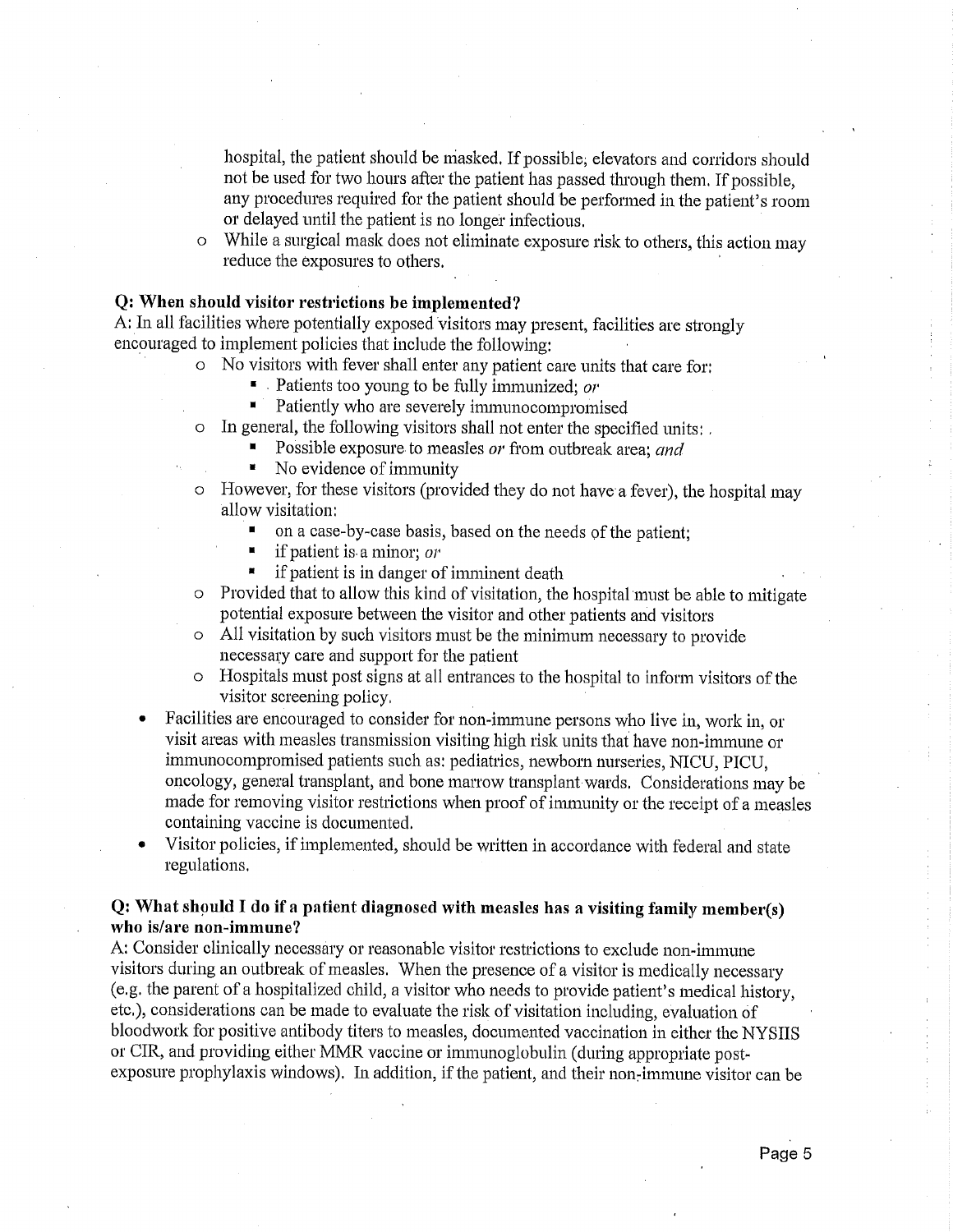hospital, the patient should be masked. If possible, elevators and corridors should not be used for two hours after the patient has passed through them. If possible, any procedures required for the patient should be performed in the patient's room or delayed until the patient is no longer infectious.

o While a surgical mask does not eliminate exposure risk to others, this action may reduce the exposures to others.

#### Q: When should visitor restrictions be implemented?

A: In all facilities where potentially exposed visitors may present, facilities are strongly encouraged to implement policies that include the following:

- o No visitors with fever shall enter any patient care units that care for:
	- E Patients too young to be fully immunized; or
	- $\blacksquare$ Patiently who are severely immunocompromised
- In general, the following visitors shall not enter the specified units:
	- Possible exposure to measles or from outbreak area; and
	- $\blacksquare$ No evidence of immunity
- However, for these visitors (provided they do not have a fever), the hospital may  $\circ$ allow visitation:
	- on a case-by-case basis, based on the needs of the patient;
	- $\blacksquare$ if patient is a minor;  $or$
	- $\blacksquare$ if patient is in danger of imminent death
- Provided that to allow this kind of visitation, the hospital must be able to mitigate potential exposure between the visitor and other patients and visitors
- o All visitation by such visitors must be the minimum necessary to provide necessary care and support for the patient
- Hospitals must post signs at all entrances to the hospital to inform visitors of the  $\circ$ visitor screening policy.
- Facilities are encouraged to consider for non-immune persons who live in, work in, or visit areas with measles transmission visiting high risk units that have non-immune or immunocompromised patients such as: pediatrics, newborn nurseries, NICU, PICU, oncology, general transplant, and bone marrow transplant wards. Considerations may be made for removing visitor restrictions when proof of immunity or the receipt of a measles containing vaccine is documented.
- Visitor policies, if implemented, should be written in accordance with federal and state regulations.

#### Q: What should I do if a patient diagnosed with measles has a visiting family member(s) who is/are non-immune?

A: Consider clinically necessary or reasonable visitor restrictions to exclude non-immune visitors during an outbreak of measles. When the presence of a visitor is medically necessary (e.g. the parent of a hospitalized child, a visitor who needs to provide patient's medical history, etc.), considerations can be made to evaluate the risk of visitation including, evaluation of bloodwork for positive antibody titers to measles, documented vaccination in either the NYSIIS or CIR, and providing either MMR vaccine or immunoglobulin (during appropriate postexposure prophylaxis windows). In addition, if the patient, and their non-immune visitor can be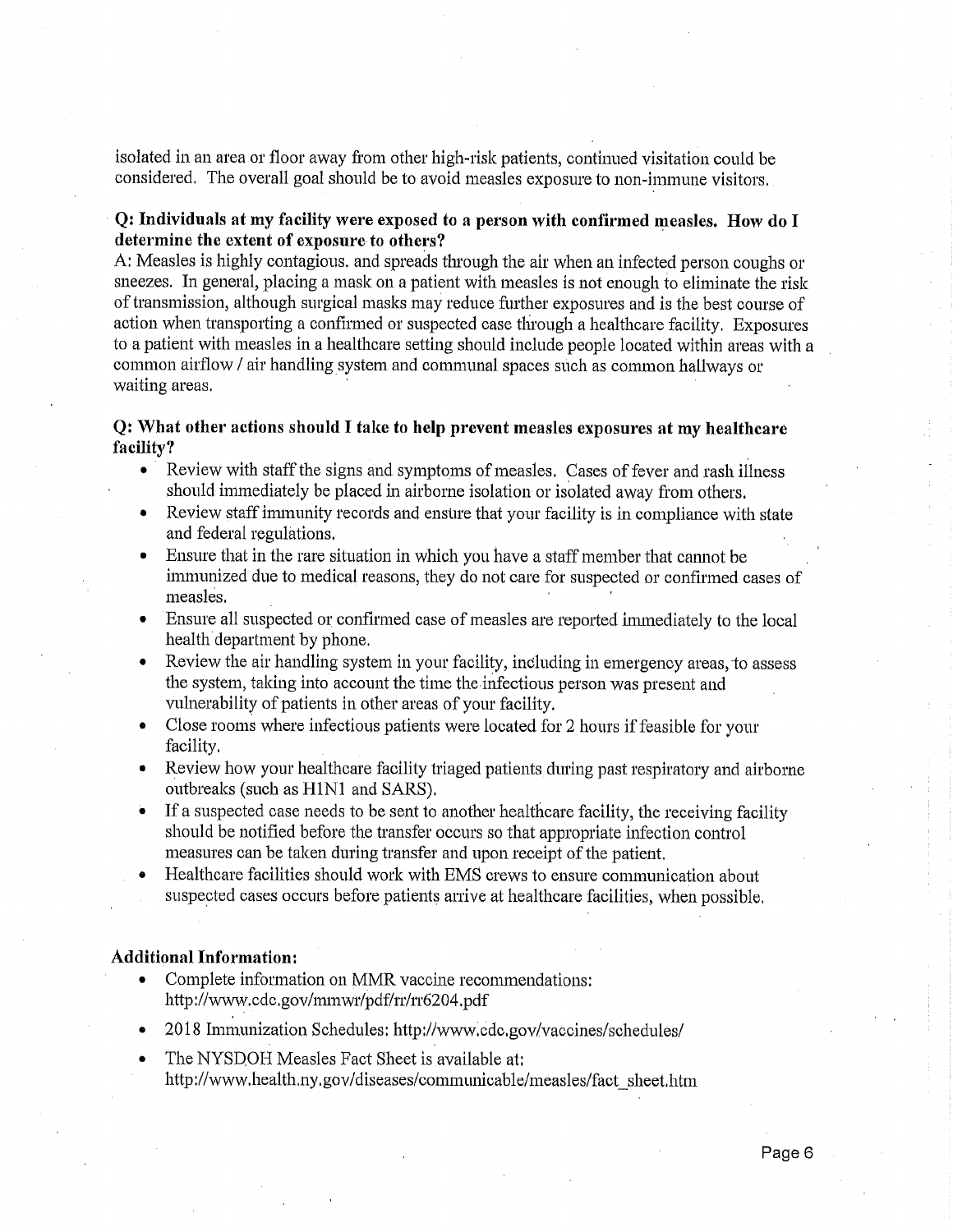isolated in an area or floor away from other high-risk patients, continued visitation could be considered. The overall goal should be to avoid measles exposure to non-immune visitors.

#### Q: Individuals at my facility were exposed to a person with confirmed measles. How do I determine the extent of exposure to others?

A: Measles is highly contagious, and spreads through the air when an infected person coughs or sneezes. In general, placing a mask on a patient with measles is not enough to eliminate the risk of transmission, although surgical masks may reduce further exposures and is the best course of action when transporting a confirmed or suspected case through a healthcare facility. Exposures to a patient with measles in a healthcare setting should include people located within areas with a common airflow / air handling system and communal spaces such as common hallways or waiting areas.

#### Q: What other actions should I take to help prevent measles exposures at my healthcare facility?

- Review with staff the signs and symptoms of measles. Cases of fever and rash illness should immediately be placed in airborne isolation or isolated away from others.
- Review staff immunity records and ensure that your facility is in compliance with state and federal regulations.
- Ensure that in the rare situation in which you have a staff member that cannot be immunized due to medical reasons, they do not care for suspected or confirmed cases of measles.
- Ensure all suspected or confirmed case of measles are reported immediately to the local health department by phone.
- Review the air handling system in your facility, including in emergency areas, to assess the system, taking into account the time the infectious person was present and vulnerability of patients in other areas of your facility.
- Close rooms where infectious patients were located for 2 hours if feasible for your  $\bullet$ facility.
- Review how your healthcare facility triaged patients during past respiratory and airborne outbreaks (such as H1N1 and SARS).
- If a suspected case needs to be sent to another healthcare facility, the receiving facility should be notified before the transfer occurs so that appropriate infection control measures can be taken during transfer and upon receipt of the patient.
- Healthcare facilities should work with EMS crews to ensure communication about suspected cases occurs before patients arrive at healthcare facilities, when possible.

#### **Additional Information:**

- Complete information on MMR vaccine recommendations: http://www.cdc.gov/mmwr/pdf/rr/rr6204.pdf
- 2018 Immunization Schedules: http://www.cdc.gov/vaccines/schedules/
- The NYSDOH Measles Fact Sheet is available at: http://www.health.ny.gov/diseases/communicable/measles/fact sheet.htm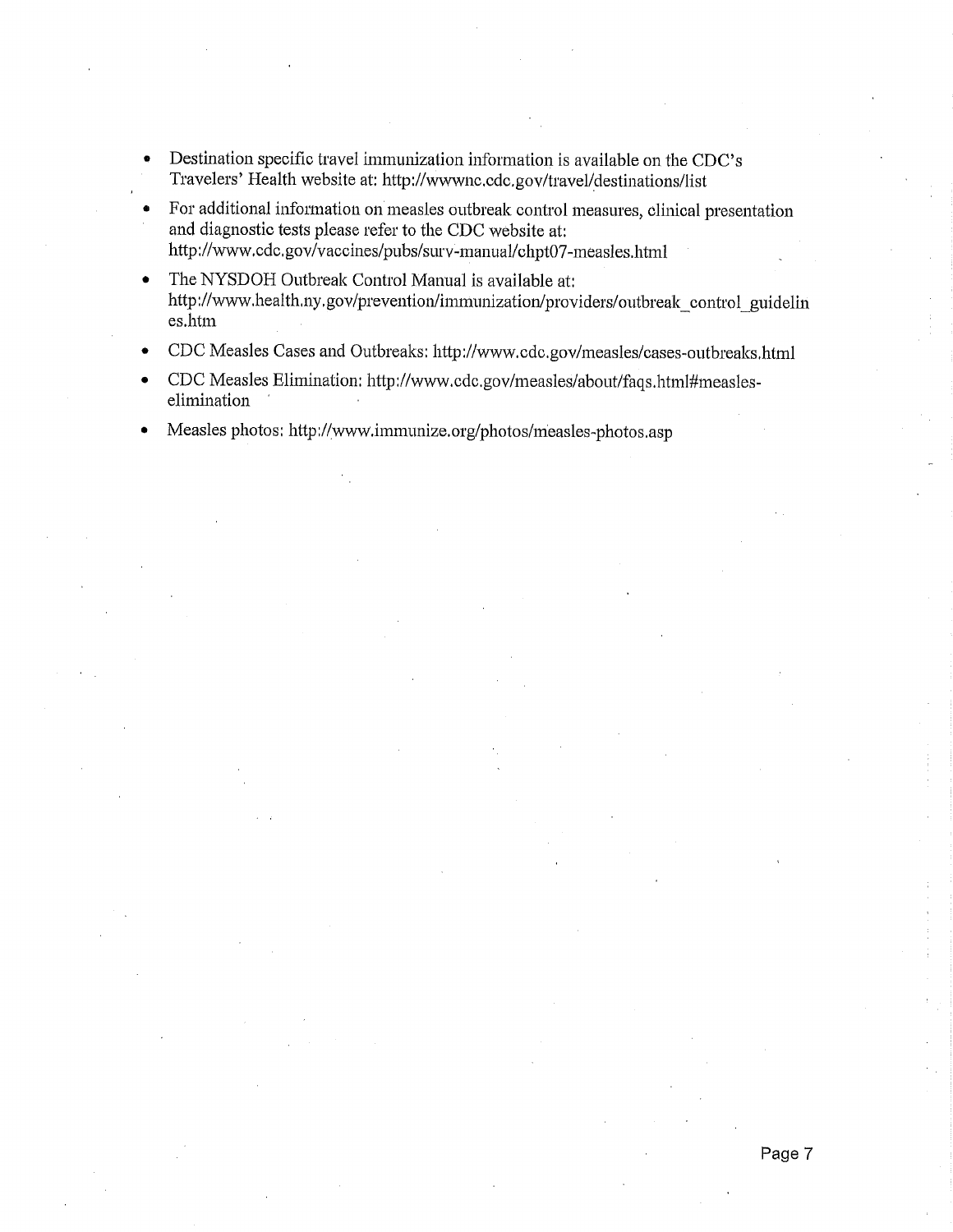- Destination specific travel immunization information is available on the CDC's  $\bullet$ Travelers' Health website at: http://wwwnc.cdc.gov/travel/destinations/list
- For additional information on measles outbreak control measures, clinical presentation  $\bullet$ and diagnostic tests please refer to the CDC website at: http://www.cdc.gov/vaccines/pubs/surv-manual/chpt07-measles.html
- The NYSDOH Outbreak Control Manual is available at: http://www.health.ny.gov/prevention/immunization/providers/outbreak control guidelin es.htm
- CDC Measles Cases and Outbreaks: http://www.cdc.gov/measles/cases-outbreaks.html
- CDC Measles Elimination: http://www.cdc.gov/measles/about/faqs.html#measleselimination
- Measles photos: http://www.immunize.org/photos/measles-photos.asp